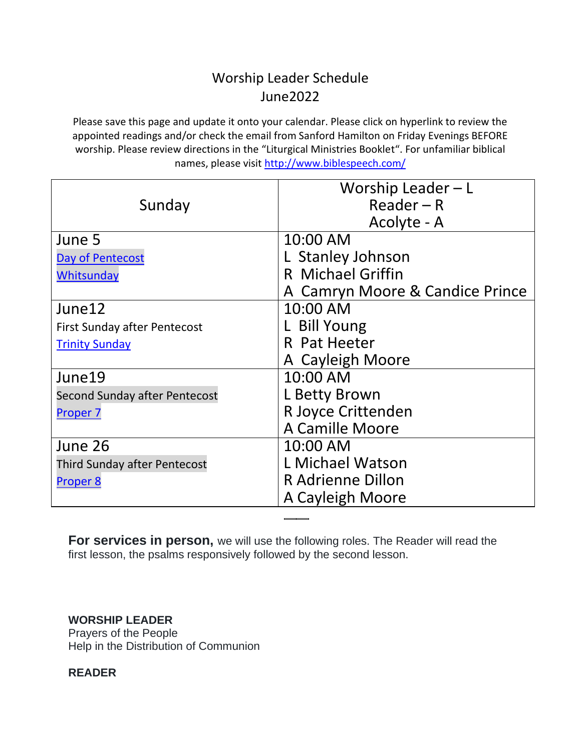## Worship Leader Schedule June2022

Please save this page and update it onto your calendar. Please click on hyperlink to review the appointed readings and/or check the email from Sanford Hamilton on Friday Evenings BEFORE worship. Please review directions in the "Liturgical Ministries Booklet". For unfamiliar biblical names, please visit<http://www.biblespeech.com/>

|                                     | Worship Leader $-L$             |
|-------------------------------------|---------------------------------|
| Sunday                              | $Reader - R$                    |
|                                     | Acolyte - A                     |
| June 5                              | 10:00 AM                        |
| Day of Pentecost                    | L Stanley Johnson               |
| Whitsunday                          | R Michael Griffin               |
|                                     | A Camryn Moore & Candice Prince |
| June12                              | 10:00 AM                        |
| <b>First Sunday after Pentecost</b> | L Bill Young                    |
| <b>Trinity Sunday</b>               | R Pat Heeter                    |
|                                     | A Cayleigh Moore                |
| June19                              | 10:00 AM                        |
| Second Sunday after Pentecost       | L Betty Brown                   |
| Proper <sub>7</sub>                 | R Joyce Crittenden              |
|                                     | A Camille Moore                 |
| June 26                             | 10:00 AM                        |
| <b>Third Sunday after Pentecost</b> | L Michael Watson                |
| Proper 8                            | R Adrienne Dillon               |
|                                     | A Cayleigh Moore                |

**For services in person,** we will use the following roles. The Reader will read the first lesson, the psalms responsively followed by the second lesson.

## **WORSHIP LEADER**

Prayers of the People Help in the Distribution of Communion

**READER**